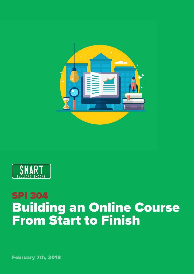



## SPI 304 Building an Online Course From Start to Finish

February 7th, 2018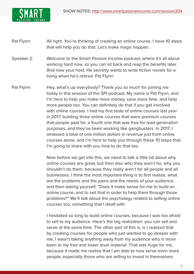

- Pat Flynn: All right. You're thinking of creating an online course. I have 10 steps that will help you do that. Let's make magic happen.
- Speaker 2: Welcome to the Smart Passive Income podcast, where it's all about working hard now, so you can sit back and reap the benefits later. And now your host. He secretly wants to write fiction novels for a living when he's retired. Pat Flynn.
- Pat Flynn: Hey, what's up everybody? Thank you so much for joining me today in this session of the SPI podcast. My name is Pat Flynn, and I'm here to help you make more money, save more time, and help more people too. You can definitely do that if you get involved with online courses. I had my first taste of online courses last year in 2017, building three online courses that were premium courses that people paid for, a fourth one that was free for lead generation purposes, and they've been working like gangbusters. In 2017, I amassed a total of one million dollars in revenue just from online courses alone, and I'm here to help you through these 10 steps that I'm going to share with you how to do that too.

Now before we get into this, we need to talk a little bit about why online courses are great, but then also who they aren't for, why you shouldn't do them, because they really aren't for all people and all businesses. I think the most important thing is to first realize, what are the problems and the pains and the needs of your audience, and then asking yourself, "Does it make sense for me to build an online course, and to sell that in order to help them through those problems?" We'll talk about the psychology related to selling online courses too, something that I dealt with.

I hesitated so long to build online courses, because I was too afraid to sell to my audience. Here's the big realization: you can sell and serve at the same time. The other part of this is, is I realized that by creating courses for people who just wanted to go deeper with me, I wasn't taking anything away from my audience who is more keen to my free and lower level material. That was huge for me, because it made me realize that I am able to now serve even more people, especially those who are willing to invest in themselves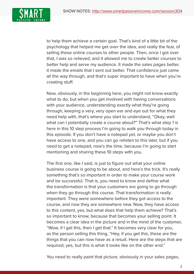

to help them achieve a certain goal. That's kind of a little bit of the psychology that helped me get over the idea, and really the fear, of selling these online courses to other people. Then, once I got over that, I was so relieved, and it allowed me to create better courses to better help and serve my audience. It made the sales pages better, it made the emails that I sent out better. That confidence just came all the way through, and that's super important to have when you're creating stuff.

Now, obviously, in the beginning here, you might not know exactly what to do, but when you get involved with having conversations with your audience, understanding exactly what they're going through, keeping a very, very open ear and eye out for what they need help with, that's where you start to understand, "Okay, well what can I potentially create a course about?" That's what step 1 is here in this 10 step process I'm going to walk you through today in this episode. If you don't have a notepad yet, or maybe you don't have access to one, and you can go relisten to this later, but if you need to get a notepad, now's the time, because I'm going to start mentioning and sharing these 10 steps with you.

The first one, like I said, is just to figure out what your online business course is going to be about, and here's the trick. It's really something that's so important in order to make your course work and be successful. That is, you need to know and define what the transformation is that your customers are going to go through when they go through this course. That transformation is really important. They were somewhere before they got access to the course, and now they are somewhere new. Now, they have access to this content, yes, but what does that help them achieve? That's so important to know, because that becomes your selling point. It becomes a clear idea in the picture and in the mind of the customer, "Wow, if I get this, then I get that." It becomes very clear for you, as the person selling this thing, "Hey, if you get this, these are the things that you can now have as a result. Here are the steps that are required, yes, but this is what it looks like on the other end."

You need to really paint that picture, obviously in your sales pages,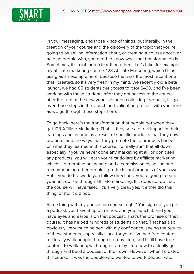

in your messaging, and those kinds of things, but literally, in the creation of your course and the discovery of the topic that you're going to be selling information about, or creating a course about, or helping people with, you need to know what that transformation is. Sometimes, it's a lot more clear than others. Let's take, for example, my affiliate marketing course, 123 Affiliate Marketing, which I'll be using as an example here, because that was the most recent one that I created, so it's very fresh in my mind. We recently did a beta launch, we had 85 students get access to it for \$499, and I've been working with those students after they got access to the course after the turn of the new year. I've been collecting feedback, I'll go over those steps in the launch and validation process with you here as we go through these steps here.

To go back, here's the transformation that people get when they get 123 Affiliate Marketing. That is, they see a direct impact in their earnings and income as a result of specific products that they now promote, and the ways that they promote those products based on what they learned in this course. To really sum that all down, especially if you've never done any marketing at all, or don't sell any products, you will earn your first dollars by affiliate marketing, which is generating an income and a commission by selling and recommending other people's products, not products of your own. But if you do the work, you follow directions, you're going to earn your first dollars through affiliate marketing. If it does not do that, the course will have failed. It's a very clear, yes, it either did this thing, or no, it did not.

Same thing with my podcasting course, right? You sign up, you get a podcast, you have it up on iTunes, and you launch it, and you have eyes and earballs on that podcast. That's the promise of that course. It has helped hundreds of students do that. That has also, obviously, very much helped with my confidence, seeing the results of these students, especially since for years I've had free content to literally walk people through step-by-step, and I still have free content, to walk people through step=by-step how to actually go through and build a podcast of their own. However, when I created this course, it was the people who wanted to work deeper, who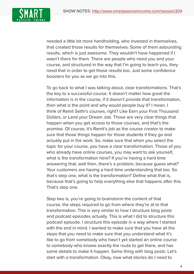

needed a little bit more handholding, who invested in themselves, that created those results for themselves. Some of them astounding results, which is just awesome. They wouldn't have happened if I wasn't there for them. There are people who need you and your course, and structured in the way that I'm going to teach you, they need that in order to get those results too. Just some confidence boosters for you as we go into this.

To go back to what I was talking about, clear transformations. That's the key to a successful course. It doesn't matter how great the information is in the course, if it doesn't provide that transformation, then what is the point and why would people buy it? I mean, I think of Ramit Sethi's courses, right? Like Earn your First Thousand Dollars, or Land your Dream Job. Those are very clear things that happen when you get access to those courses, and that's the promise. Of course, it's Ramit's job as the course creator to make sure that those things happen for those students if they go and actually put in the work. So, make sure that when you select the topic for your course, you have a clear transformation. Those of you who already have online courses, you may want to ask yourself, what is the transformation here? If you're having a hard time answering that, well then, there's a problem, because guess what? Your customers are having a hard time understanding that too. So that's step one, what is the transformation? Define what that is, because that's going to help everything else that happens after this. That's step one.

Step two is, you're going to brainstorm the content of that course, the steps required to go from where they're at to that transformation. This is very similar to how I structure blog posts and podcast episodes actually. This is what I did to structure this podcast episode. I structure this episode in a way where I started with the end in mind. I wanted to make sure that you have all the steps that you need to make sure that you understand what it's like to go from somebody who hasn't yet started an online course to somebody who knows exactly the route to get there, and has some details to make it happen. Same thing with blog posts. Let's start with a transformation. Okay, now what stories do I need to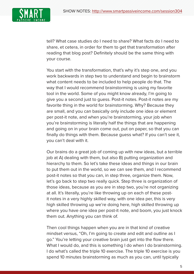

tell? What case studies do I need to share? What facts do I need to share, et cetera, in order for them to get that transformation after reading that blog post? Definitely should be the same thing with your course.

You start with the transformation, that's why it's step one, and you work backwards in step two to understand and begin to brainstorm what content needs to be included to help people do that. The way that I would recommend brainstorming is using my favorite tool in the world. Some of you might know already, I'm going to give you a second just to guess. Post-it notes. Post-it notes are my favorite thing in the world for brainstorming. Why? Because they are small, and you can basically only include one idea or element per post-it note, and when you're brainstorming, your job when you're brainstorming is literally half the things that are happening and going on in your brain come out, put on paper, so that you can finally do things with them. Because guess what? If you can't see it, you can't deal with it.

Our brains do a great job of coming up with new ideas, but a terrible job at A) dealing with them, but also B) putting organization and hierarchy to them. So let's take these ideas and things in our brain to put them out in the world, so we can see them, and I recommend post-it notes so that you can, in step three, organize them. Now, let's go back to step two really quick. Step three is organization of those ideas, because as you are in step two, you're not organizing at all. It's literally, you're like throwing up on each of these postit notes in a very highly skilled way, with one idea per, this is very high skilled throwing up we're doing here, high skilled throwing up where you have one idea per post-it note, and boom, you just knock them out. Anything you can think of.

Then cool things happen when you are in that kind of creative mindset versus, "Oh, I'm going to create and edit and outline as I go." You're letting your creative brain just get into the flow there. What I would do, and this is something I do when I do brainstorming. I do what's called the triple 10 exercise. The triple 10 exercise is you spend 10 minutes brainstorming as much as you can, until typically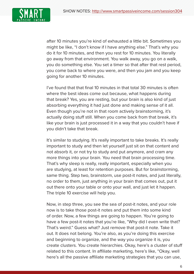

after 10 minutes you're kind of exhausted a little bit. Sometimes you might be like, "I don't know if I have anything else." That's why you do it for 10 minutes, and then you rest for 10 minutes. You literally go away from that environment. You walk away, you go on a walk, you do something else. You set a timer so that after that rest period, you come back to where you were, and then you jam and you keep going for another 10 minutes.

I've found that that final 10 minutes in that total 30 minutes is often where the best ideas come out because, what happens during that break? Yes, you are resting, but your brain is also kind of just absorbing everything it had just done and making sense of it all. Even though you're not in that room actively brainstorming, it's actually doing stuff still. When you come back from that break, it's like your brain is just processed it in a way that you couldn't have if you didn't take that break.

It's similar to studying. It's really important to take breaks. It's really important to study and then let yourself just sit on that content and not absorb it, or not try to study and put anymore, and cram any more things into your brain. You need that brain processing time. That's why sleep is really, really important, especially when you are studying, at least for retention purposes. But for brainstorming, same thing. Step two, brainstorm, use post-it notes, and just literally, no order to them, just anything in your brain that comes out, put it out there onto your table or onto your wall, and just let it happen. The triple 10 exercise will help you.

Now, in step three, you see the sea of post-it notes, and your role now is to take those post-it notes and put them into some kind of order. Now, a few things are going to happen. You're going to have a few post-it notes that you're like, "Why did I even write that? That's weird." Guess what? Just remove that post-it note. Take it out. It does not belong. You're also, as you're doing this exercise and beginning to organize, and the way you organize it is, you create clusters. You create hierarchies. Okay, here's a cluster of stuff related to this content. In affiliate marketing, here's like, "Okay, well here's all the passive affiliate marketing strategies that you can use,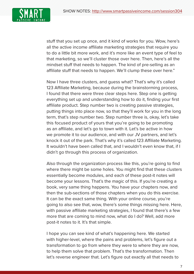

stuff that you set up once, and it kind of works for you. Wow, here's all the active income affiliate marketing strategies that require you to do a little bit more work, and it's more like an event type of feel to that marketing, so we'll cluster those over here. Then, here's all the mindset stuff that needs to happen. The kind of pre-selling as an affiliate stuff that needs to happen. We'll clump these over here."

Now I have three clusters, and guess what? That's why it's called 123 Affiliate Marketing, because during the brainstorming process, I found that there were three clear steps here. Step one is getting everything set up and understanding how to do it, finding your first affiliate product. Step number two is creating passive strategies, putting things into place now, so that they'll work for you in the long term, that's step number two. Step number three is, okay, let's take this focused product of yours that you're going to be promoting as an affiliate, and let's go to town with it. Let's be active in how we promote it to our audience, and with our JV partners, and let's knock it out of the park. That's why it's called 123 Affiliate Marketing. It wouldn't have been called that, and I wouldn't even know that, if I didn't go through this process of organization.

Also through the organization process like this, you're going to find where there might be some holes. You might find that these clusters essentially become modules, and each of these post-it notes will become your lessons. That's the magic of this. If you're creating a book, very same thing happens. You have your chapters now, and then the sub-sections of those chapters when you do this exercise. It can be the exact same thing. With your online course, you're going to also see that, wow, there's some things missing here. Here, with passive affiliate marketing strategies, I found that there's a few more that are coming to mind now, what do I do? Well, add more post-it notes to it. It's that simple.

I hope you can see kind of what's happening here. We started with higher-level, where the pains and problems, let's figure out a transformation to go from where they were to where they are now, to help them solve that problem. That's the transformation. Then let's reverse engineer that. Let's figure out exactly all that needs to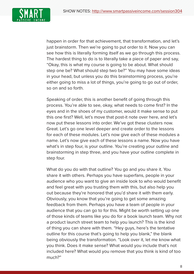

happen in order for that achievement, that transformation, and let's just brainstorm. Then we're going to put order to it. Now you can see how this is literally forming itself as we go through this process. The hardest thing to do is to literally take a piece of paper and say, "Okay, this is what my course is going to be about. What should step one be? What should step two be?" You may have some ideas in your head, but unless you do this brainstorming process, you're either going to miss a lot of things, you're going to go out of order, so on and so forth.

Speaking of order, this is another benefit of going through this process. You're able to see, okay, what needs to come first? In the eyes and in the shoes of my customer, would it make sense to put this one first? Well, let's move that post-it note over here, and let's now put these lessons into order. We've got these clusters now. Great. Let's go one level deeper and create order to the lessons for each of these modules. Let's now give each of these modules a name. Let's now give each of these lessons a name. Now you have what's in step four, is your outline. You're creating your outline and brainstorming in step three, and you have your outline complete in step four.

What do you do with that outline? You go and you share it. You share it with others. Perhaps you have superfans, people in your audience who you want to give an inside look to who would benefit and feel great with you trusting them with this, but also help you out because they're honored that you'd share it with them early. Obviously, you know that you're going to get some amazing feedback from them. Perhaps you have a team of people in your audience that you can go to for this. Might be worth setting up one of those kinds of teams like you do for a book launch team. Why not a product launch street team to help you launch? This is the kind of thing you can share with them. "Hey guys, here's the tentative outline for this course that's going to help you blank," the blank being obviously the transformation. "Look over it, let me know what you think. Does it make sense? What would you include that's not included here? What would you remove that you think is kind of too much?"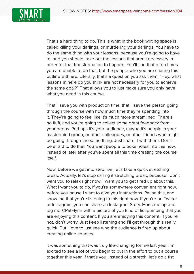

That's a hard thing to do. This is what in the book writing space is called killing your darlings, or murdering your darlings. You have to do the same thing with your lessons, because you're going to have to, and you should, take out the lessons that aren't necessary in order for that transformation to happen. You'll find that often times you are unable to do that, but the people who you are sharing this outline with are. Literally, that's a question you ask them, "Hey, what lessons in here do you think are not necessary for you to achieve the same goal?" That allows you to just make sure you only have what you need in this course.

That'll save you with production time, that'll save the person going through the course with how much time they're spending into it. They're going to feel like it's much more streamlined. There's no fluff, and you're going to collect some great feedback from your peeps. Perhaps it's your audience, maybe it's people in your mastermind group, or other colleagues, or other friends who might be going through the same thing. Just share it with them. Don't be afraid to do that. You want people to poke holes into this now, instead of later after you've spent all this time creating the course itself.

Now, before we get into step five, let's take a quick stretching break. Actually, let's stop calling it stretching break, because I don't want you to relax right now. I want you to get fired up about this. What I want you to do, if you're somewhere convenient right now, before you pause I want to give you instructions. Pause this, and show me that you're listening to this right now. If you're on Twitter or Instagram, you can share an Instagram Story. Hook me up and tag me @PatFlynn with a picture of you kind of fist pumping that you are enjoying this content. If you are enjoying this content. If you're not, don't worry. Just keep listening and I'll get through this really quick. But I love to just see who the audience is fired up about creating online courses.

It was something that was truly life-changing for me last year. I'm excited to see a lot of you begin to put in the effort to put a course together this year. If that's you, instead of a stretch, let's do a fist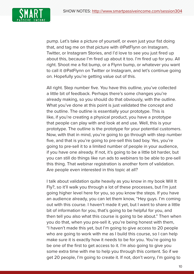

pump. Let's take a picture of yourself, or even just your fist doing that, and tag me on that picture with @PatFlynn on Instagram, Twitter, or Instagram Stories, and I'd love to see you just fired up about this, because I'm fired up about it too. I'm fired up for you. All right. Shoot me a fist bump, or a Flynn bump, or whatever you want to call it @PatFlynn on Twitter or Instagram, and let's continue going on. Hopefully you're getting value out of this.

All right. Step number five. You have this outline, you've collected a little bit of feedback. Perhaps there's some changes you're already making, so you should do that obviously, with the outline. What you've done at this point is just validated the concept and the outline. The outline is essentially your prototype. This is like, if you're creating a physical product, you have a prototype that people can play with and look at and use. Well, this is your prototype. The outline is the prototype for your potential customers. Now, with that in mind, you're going to go through with step number five, and that is you're going to pre-sell this bad boy. Yes, you're going to pre-sell it to a limited number of people in your audience, if you have one already. If not, it's going to be a little bit harder, but you can still do things like run ads to webinars to be able to pre-sell this thing. That webinar registration is another form of validation. Are people even interested in this topic at all?

I talk about validation quite heavily as you know in my book Will It Fly?, so it'll walk you through a lot of these processes, but I'm just going higher level here for you, so you know the steps. If you have an audience already, you can let them know, "Hey guys. I'm coming out with this course. I haven't made it yet, but I want to share a little bit of information for you, that's going to be helpful for you, and then tell you also what this course is going to be about." Then when you do that, when you pre-sell it, you're being honest with them, "I haven't made this yet, but I'm going to give access to 20 people who are going to work with me as I build this course, so I can help make sure it is exactly how it needs to be for you. You're going to be one of the first to get access to it. I'm also going to give you some extra time with me to help you through this content. So if we get 20 people, I'm going to create it. If not, don't worry, I'm going to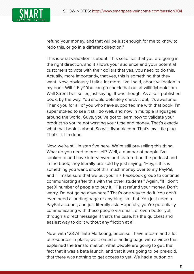

refund your money, and that will be just enough for me to know to redo this, or go in a different direction."

This is what validation is about. This solidifies that you are going in the right direction, and it allows your audience and your potential customers to vote with their dollars that yes, you need to do this. Actually, more importantly, that yes, this is something that they want. Now, obviously I talk a lot more, like I said, about validation in my book Will It Fly? You can go check that out at willitflybook.com. Wall Street bestseller, just saying. It was though. As a self-published book, by the way. You should definitely check it out, it's awesome. Thank you for all of you who have supported me with that book. I'm super stoked to see it still do well, and now in multiple languages around the world. Guys, you've got to learn how to validate your product so you're not wasting your time and money. That's exactly what that book is about. So willitflybook.com. That's my little plug. That's it. I'm done.

Now, we're still in step five here. We're still pre-selling this thing. What do you need to pre=sell? Well, a number of people I've spoken to and have interviewed and featured on the podcast and in the book, they literally pre-sold by just saying, "Hey, if this is something you want, shoot this much money over to my PayPal, and I'll make sure that we put you in a Facebook group to continue communicating after this with the other students." Again, "If I don't get X number of people to buy it, I'll just refund your money. Don't worry, I'm not going anywhere." That's one way to do it. You don't even need a landing page or anything like that. You just need a PayPal account, and just literally ask. Hopefully, you're potentially communicating with these people via email, or even better yet, through a direct message if that's the case. It's the quickest and easiest way to do it without any friction at all.

Now, with 123 Affiliate Marketing, because I have a team and a lot of resources in place, we created a landing page with a video that explained the transformation, what people are going to get, the fact that it was a beta launch, and that it was going to be pre-sold, that there was nothing to get access to yet. We had a button on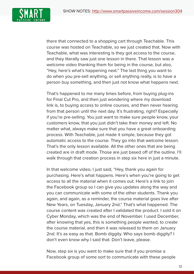

there that connected to a shopping cart through Teachable. This course was hosted on Teachable, so we just created that. Now with Teachable, what was interesting is they got access to the course, and they literally saw just one lesson in there. That lesson was a welcome video thanking them for being in the course, but also, "Hey, here's what's happening next." The last thing you want to do when you pre-sell anything, or sell anything really, is to have a person buy something, and then just not know what happens next.

That's happened to me many times before, from buying plug-ins for Final Cut Pro, and then just wondering where my download link is, to buying access to online courses, and then never hearing from that person until the next day. It's frustrating, right? Especially if you're pre-selling. You just want to make sure people know, your customers know, that you just didn't take their money and left. No matter what, always make sure that you have a great onboarding process. With Teachable, just made it simple, because they got automatic access to the course. They go into that welcome lesson. That's the only lesson available. All the other ones that are being created are in draft mode. Those are just based off of the outline. I'll walk through that creation process in step six here in just a minute.

In that welcome video, I just said, "Hey, thank you again for purchasing. Here's what happens. Here's when you're going to get access to all the material when it comes out. Here's a link to join the Facebook group so I can give you updates along the way and you can communicate with some of the other students. Thank you again, and again, as a reminder, the course material goes live after New Years, on Tuesday, January 2nd." That's what happened. The course content was created after I validated the product. I sold it on Cyber Monday, which was the end of November. I used December, after knowing that yes, this is something people wanted, to create the course material, and then it was released to them on January 2nd. It's as easy as that. Bomb diggity. Who says bomb diggity? I don't even know why I said that. Don't leave, please.

Now, step six is you want to make sure that if you promise a Facebook group of some sort to communicate with these people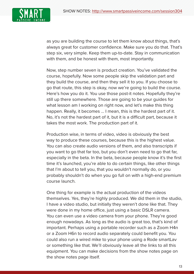

as you are building the course to let them know about things, that's always great for customer confidence. Make sure you do that. That's step six, very simple. Keep them up-to-date. Stay in communication with them, and be honest with them, most importantly.

Now, step number seven is product creation. You've validated the course, hopefully. Now some people skip the validation part and they build the course, and then they sell it to you. If you choose to go that route, this step is okay, now we're going to build the course. Here's how you do it. You use those post-it notes. Hopefully they're still up there somewhere. Those are going to be your guides for what lesson am I working on right now, and let's make this thing happen. Really, it becomes ... I mean, this is the hardest part of it. No, it's not the hardest part of it, but it is a difficult part, because it takes the most work. The production part of it.

Production wise, in terms of video, video is obviously the best way to produce these courses, because this is the highest value. You can also create audio versions of them, and also transcripts if you want to go that far too, but you don't even need to go that far, especially in the beta. In the beta, because people know it's the first time it's launched, you're able to do certain things, like other things that I'm about to tell you, that you wouldn't normally do, or you probably shouldn't do when you go full on with a high-end premium course launch.

One thing for example is the actual production of the videos themselves. Yes, they're highly produced. We did them in the studio, I have a video studio, but initially they weren't done like that. They were done in my home office, just using a basic DSLR camera. You can even use a video camera from your phone. They're good enough nowadays. As long as the audio is great too, that's kind of important. Perhaps using a portable recorder such as a Zoom H4n or a Zoom H6n to record audio separately could benefit you. You could also run a wired mike to your phone using a Rode smartLav or something like that. We'll obviously leave all the links to all this equipment. You can make decisions from the show notes page on the show notes page itself.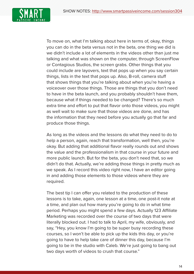

To move on, what I'm talking about here in terms of, okay, things you can do in the beta versus not in the beta, one thing we did is we didn't include a lot of elements in the videos other than just me talking and what was shown on the computer, through ScreenFlow or Contagious Studios, the screen grabs. Other things that you could include are layovers, text that pops up when you say certain things, lists in the text that pops up. Also, B-roll, camera stuff that shows things that you're talking about when you're having a voiceover over those things. Those are things that you don't need to have in the beta launch, and you probably shouldn't have them, because what if things needed to be changed? There's so much extra time and effort to put that flavor onto those videos, you might as well wait to make sure that those videos are done, and has the information that they need before you actually go that far and produce those things.

As long as the videos and the lessons do what they need to do to help a person, again, reach that transformation, well then, you're okay. But adding that additional flavor really rounds out and shows the value and the professionalism in that course in your future and more public launch. But for the beta, you don't need that, so we didn't do that. Actually, we're adding those things in pretty much as we speak. As I record this video right now, I have an editor going in and adding those elements to those videos where they are required.

The best tip I can offer you related to the production of these lessons is to take, again, one lesson at a time, one post-it note at a time, and plan out how many you're going to do in what time period. Perhaps you might spend a few days. Actually 123 Affiliate Marketing was recorded over the course of two days that were literally blocked out. I had to talk to April, my wife, obviously, and say, "Hey, you know I'm going to be super busy recording these courses, so I won't be able to pick up the kids this day, or you're going to have to help take care of dinner this day, because I'm going to be in the studio with Caleb. We're just going to bang out two days worth of videos to crush that course."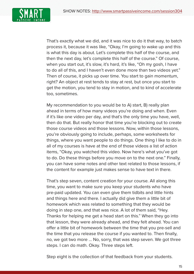

That's exactly what we did, and it was nice to do it that way, to batch process it, because it was like, "Okay, I'm going to wake up and this is what this day is about. Let's complete this half of the course, and then the next day, let's complete this half of the course." Of course, when you start out, it's slow, it's hard, it's like, "Oh my gosh, I have to do all of this, and I haven't even done more than two videos yet." Then of course, it picks up over time. You start to gain momentum, right? An object at rest tends to stay at rest, but once you start to get the motion, you tend to stay in motion, and to kind of accelerate too, sometimes.

My recommendation to you would be to A) start, B) really plan ahead in terms of how many videos you're doing and when. Even if it's like one video per day, and that's the only time you have, well, then do that. But really honor that time you're blocking out to create those course videos and those lessons. Now, within those lessons, you're obviously going to include, perhaps, some worksheets for things, where you want people to do things. One thing I like to do in all of my courses is have at the end of those videos a list of action items, "Okay, you watched this video. Now here's what you've got to do. Do these things before you move on to the next one." Finally, you can have some notes and other text related to those lessons, if the content for example just makes sense to have text in there.

That's step seven, content creation for your course. All along this time, you want to make sure you keep your students who have pre-paid updated. You can even give them tidbits and little hints and things here and there. I actually did give them a little bit of homework which was related to something that they would be doing in step one, and that was nice. A lot of them said, "Hey. Thanks for helping me get a head start on this." When they go into that lesson, they were already ahead, and they felt ahead. You can offer a little bit of homework between the time that you pre-sell and the time that you release the course if you wanted to. Then finally, no, we got two more ... No, sorry, that was step seven. We got three steps. I can do math. Okay. Three steps left.

Step eight is the collection of that feedback from your students.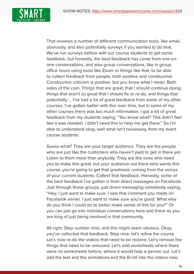

That involves a number of different communication tools, like email, obviously, and also potentially surveys if you wanted to do that. We've run surveys before with our course students to get some feedback, but honestly, the best feedback has come from one-onone conversations, and also group conversations, like in group office hours using tools like Zoom or things like that, to be able to collect feedback from people, both positive and constructive. Constructive criticism is positive, but you know what I mean. Both sides of the coin. Things that are great, that I should continue doing, things that aren't so great that I should fix or re-do, and things that potentially ... I've had a lot of great feedback from some of my other courses, I've gotten better with this over time, but in some of my other courses there was too much information. I got a lot of great feedback from my students saying, "You know what? This didn't feel like it was needed. I didn't need this to help me get there." So I'm able to understand okay, well what isn't necessary, from my exact course students.

Guess what? They are your target audience. They are the people who are just like the customers who haven't paid to get in there yet. Listen to them more than anybody. They are the ones who need you to make this great, but your audience out there who wants this course, you're going to get that greatness coming from the voices of your current students. Collect that feedback. Honestly, some of the best feedback I've gotten is from direct messages on Facebook. Just through those groups, just direct messaging somebody saying, "Hey, I just want to make sure. I saw that comment you made on Facebook earlier. I just want to make sure you're good. What else do you think I could do to better make sense of this for you?" Or you can just go into individual conversations here and there as you are king of just being involved in that community.

All right. Step number nine, and this might seem obvious. Okay, you've collected that feedback. Step nine, let's refine the course. Let's now re-do the videos that need to be redone. Let's remove the things that need to be removed. Let's add worksheets where there were no worksheets before, where it would help a person out. Let's add the text and the animations and the B-roll into the videos now.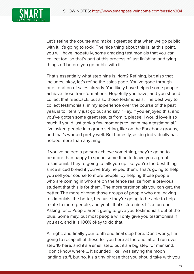

Let's refine the course and make it great so that when we go public with it, it's going to rock. The nice thing about this is, at this point, you will have, hopefully, some amazing testimonials that you can collect too, so that's part of this process of just finishing and tying things off before you go public with it.

That's essentially what step nine is, right? Refining, but also that includes, okay, let's refine the sales page. You've gone through one iteration of sales already. You likely have helped some people achieve those transformations. Hopefully you have, and you should collect that feedback, but also those testimonials. The best way to collect testimonials, in my experience over the course of the past year, is to literally just go out and say, "Hey, if you enjoyed this, and you've gotten some great results from it, please, I would love it so much if you'd just took a few moments to leave me a testimonial." I've asked people in a group setting, like on the Facebook groups, and that's worked pretty well. But honestly, asking individually has helped more than anything.

If you've helped a person achieve something, they're going to be more than happy to spend some time to leave you a great testimonial. They're going to talk you up like you're the best thing since sliced bread if you've truly helped them. That's going to help you sell your course to more people, by helping those people who are coming in who are on the fence realize from a previous student that this is for them. The more testimonials you can get, the better. The more diverse those groups of people who are leaving testimonials, the better, because they're going to be able to help relate to more people, and yeah, that's step nine. It's a fun one. Asking for ... People aren't going to give you testimonials out of the blue. Some may, but most people will only give you testimonials if you ask, and it is 100% okay to do that.

All right, and finally your tenth and final step here. Don't worry, I'm going to recap all of these for you here at the end, after I run over step 10 here, and it's a small step, but it's a big step for mankind. I don't know where ... It sounded like I was saying the moon landing stuff, but no. It's a tiny phrase that you should take with you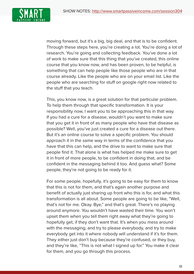

moving forward, but it's a big, big deal, and that is to be confident. Through these steps here, you're creating a lot. You're doing a lot of research. You're going and collecting feedback. You've done a lot of work to make sure that this thing that you've created, this online course that you know now, and has been proven, to be helpful, is something that can help people like those people who are in that course already. Like the people who are on your email list. Like the people who are searching for stuff on google right now related to the stuff that you teach.

This, you know now, is a great solution for that particular problem. To help them through that specific transformation. It is your responsibility now, I want you to be approaching this in that way. If you had a cure for a disease, wouldn't you want to make sure that you get it in front of as many people who have that disease as possible? Well, you've just created a cure for a disease out there. But it's an online course to solve a specific problem. You should approach it in the same way in terms of the confidence that you have that this can help, and the drive to want to make sure that people find it. That alone is what has helped me make sure to get it in front of more people, to be confident in doing that, and be confident in the messaging behind it too. And guess what? Some people, they're not going to be ready for it.

For some people, hopefully, it's going to be easy for them to know that this is not for them, and that's again another purpose and benefit of actually just sharing up front who this is for, and what this transformation is all about. Some people are going to be like, "Well, that's not for me. Okay. Bye," and that's great. There's no playing around anymore. You wouldn't have wasted their time. You won't upset them when you tell them right away what they're going to hopefully get, if they don't want that. It's when you mess around with the messaging, and try to please everybody, and try to make everybody get into it where nobody will understand if it's for them. They either just don't buy because they're confused, or they buy, and they're like, "This is not what I signed up for." You make it clear for them, and you go through this process.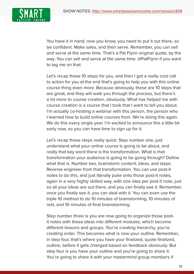

You have it in hand, now you know, you need to put it out there, so be confident. Make sales, and then serve. Remember, you can sell and serve at the same time. That's a Pat Flynn original quote, by the way. You can sell and serve at the same time. @PatFlynn if you want to tag me on that.

Let's recap these 10 steps for you, and then I got a really cool call to action for you at the end that's going to help you with this online course thing even more. Because obviously, these are 10 steps that are great, and they will walk you through the process, but there's a lot more to course creation, obviously. What has helped me with course creation is a course that I took that I want to tell you about. I'm actually co-hosting a webinar with this person, the person who I learned how to build online courses from. We're doing this again. We do this every single year. I'm excited to announce this a little bit early now, so you can have time to sign up for it.

Let's recap these steps really quick. Step number one, just understand what your online course is going to be about, and really that key word there is the transformation. What is that transformation your audience is going to be going through? Define what that is. Number two, brainstorm content, ideas, and steps. Reverse engineer from that transformation. You can use post-it notes to do this, and just literally puke onto those post-it notes, again in a very highly skilled way, with one idea per post-it note, just so all your ideas are out there, and you can finally see it. Remember, once you finally see it, you can deal with it. You can even use the triple 10 method to do 10 minutes of brainstorming, 10 minutes of rest, and 10 minutes of final brainstorming.

Step number three is you are now going to organize those postit notes with those ideas into different modules, which become different lessons and groups. You're creating hierarchy, you're creating order. This becomes what is now your outline. Remember, in step four, that's where you have your finalized, quote finalized, outline, before it gets changed based on feedback obviously. But step four is you have your outline and you're going to share it. You're going to share it with your mastermind group members if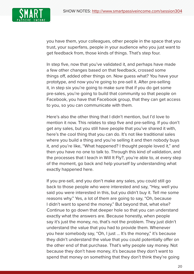

you have them, your colleagues, other people in the space that you trust, your superfans, people in your audience who you just want to get feedback from, those kinds of things. That's step four.

In step five, now that you've validated it, and perhaps have made a few other changes based on that feedback, crossed some things off, added other things on. Now guess what? You have your prototype, and now you're going to pre-sell it. After pre-selling it, in step six you're going to make sure that if you do get some pre-sales, you're going to build that community so that people on Facebook, you have that Facebook group, that they can get access to you, so you can communicate with them.

Here's also the other thing that I didn't mention, but I'd love to mention it now. This relates to step five and pre-selling. If you don't get any sales, but you still have people that you've shared it with, here's the cool thing that you can do. It's not like traditional sales where you build a thing and you're selling it and then nobody buys it, and you're like, "What happened? I thought people loved it," and then you have no one to talk to. Through this kind of validation, and the processes that I teach in Will It Fly?, you're able to, at every step of the moment, go back and help yourself by understanding what exactly happened here.

If you pre-sell, and you don't make any sales, you could still go back to those people who were interested and say, "Hey, well you said you were interested in this, but you didn't buy it. Tell me some reasons why." Yes, a lot of them are going to say, "Oh, because I didn't want to spend the money." But beyond that, what else? Continue to go down that deeper hole so that you can understand exactly what the answers are. Because honestly, when people say it's just the money, no, that's not the problem. They just didn't understand the value that you had to provide them. Whenever you hear somebody say, "Oh, I just ... It's the money," it's because they didn't understand the value that you could potentially offer on the other end of that purchase. That's why people say money. Not because they don't have money, it's because they don't want to spend that money on something that they don't think they're going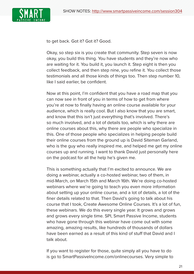

to get back. Got it? Got it? Good.

Okay, so step six is you create that community. Step seven is now okay, you build this thing. You have students and they're now who are waiting for it. You build it, you launch it. Step eight is then you collect feedback, and then step nine, you refine it. You collect those testimonials and all those kinds of things too. Then step number 10, like I said earlier, be confident.

Now at this point, I'm confident that you have a road map that you can now see in front of you in terms of how to get from where you're at now to finally having an online course available for your audience, which is really cool. But I also know that you are smart, and know that this isn't just everything that's involved. There's so much involved, and a lot of details too, which is why there are online courses about this, why there are people who specialize in this. One of those people who specializes in helping people build their online courses from the ground up is David Siteman Garland, who is the guy who really inspired me, and helped me get my online courses up and running. I want to thank David just personally here on the podcast for all the help he's given me.

This is something actually that I'm excited to announce. We are doing a webinar, actually a co-hosted webinar, two of them, in mid-March, on March 15th and March 16th. We're doing co-hosted webinars where we're going to teach you even more information about setting up your online course, and a lot of details, a lot of the finer details related to that. Then David's going to talk about his course that I took, Create Awesome Online Courses. It's a lot of fun, these webinars. We do this every single year. It grows and grows and grows every single time. SPI, Smart Passive Income, students who have gone through this webinar have come out with some amazing, amazing results, like hundreds of thousands of dollars have been earned as a result of this kind of stuff that David and I talk about.

If you want to register for those, quite simply all you have to do is go to SmartPassiveIncome.com/onlinecourses. Very simple to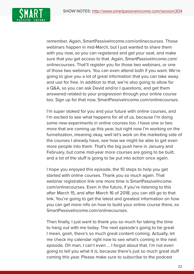

remember. Again, SmartPassiveIncome.com/onlinecourses. Those webinars happen in mid-March, but I just wanted to share them with you now, so you can registered and get your seat, and make sure that you get access to that. Again, SmartPassiveIncome.com/ onlinecourses. That'll register you for those two webinars, or one of those two webinars. You can even attend both if you want. We're going to give you a lot of great information that you can take away and use for free. In addition to that, we're also going to allow for a Q&A, so you can ask David and/or I questions, and get them answered related to your progression through your online course too. Sign up for that now, SmartPassiveIncome.com/onlinecourses.

I'm super stoked for you and your future with online courses, and I'm excited to see what happens for all of us, because I'm doing some new experiments in online courses too. I have one or two more that are coming up this year, but right now I'm working on the funnelization, meaning okay, well let's work on the marketing side of the courses I already have, see how we might be able to get even more people into them. That's the big push here in January and February, but come mid-year more courses are going to be built, and a lot of the stuff is going to be put into action once again.

I hope you enjoyed this episode, the 10 steps to help you get started with online courses. Thank you so much again. That webinar registration link one more time is SmartPassiveIncome. com/onlinecourses. Even in the future, if you're listening to this after March 15, and after March 16 of 2018, you can still go to that link. You're going to get the latest and greatest information on how you can get more info on how to build your online course there, so SmartPassiveIncome.com/onlinecourses.

Then finally, I just want to thank you so much for taking the time to hang out with me today. The next episode's going to be great. I mean, gosh, there's so much great content coming. Actually, let me check my calendar right now to see what's coming in the next episode. Oh man, I can't even ... I forgot about that. I'm not even going to tell you what it is, because there's just so much great stuff coming this year. Please make sure to subscribe to the podcast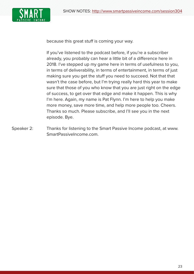

because this great stuff is coming your way.

If you've listened to the podcast before, if you're a subscriber already, you probably can hear a little bit of a difference here in 2018. I've stepped up my game here in terms of usefulness to you, in terms of deliverability, in terms of entertainment, in terms of just making sure you get the stuff you need to succeed. Not that that wasn't the case before, but I'm trying really hard this year to make sure that those of you who know that you are just right on the edge of success, to get over that edge and make it happen. This is why I'm here. Again, my name is Pat Flynn. I'm here to help you make more money, save more time, and help more people too. Cheers. Thanks so much. Please subscribe, and I'll see you in the next episode. Bye.

Speaker 2: Thanks for listening to the Smart Passive Income podcast, at www. SmartPassiveIncome.com.